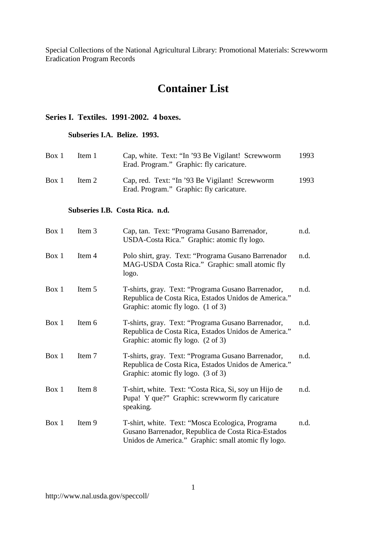# **Container List**

# **Series I. Textiles. 1991-2002. 4 boxes.**

# **Subseries I.A. Belize. 1993.**

| Box 1 | Item 1 | Cap, white. Text: "In '93 Be Vigilant! Screwworm<br>Erad. Program." Graphic: fly caricature. | 1993 |
|-------|--------|----------------------------------------------------------------------------------------------|------|
| Box 1 | Item 2 | Cap, red. Text: "In '93 Be Vigilant! Screwworm<br>Erad. Program." Graphic: fly caricature.   | 1993 |

### **Subseries I.B. Costa Rica. n.d.**

| Box 1 | Item 3 | Cap, tan. Text: "Programa Gusano Barrenador,<br>USDA-Costa Rica." Graphic: atomic fly logo.                                                                   | n.d. |
|-------|--------|---------------------------------------------------------------------------------------------------------------------------------------------------------------|------|
| Box 1 | Item 4 | Polo shirt, gray. Text: "Programa Gusano Barrenador"<br>MAG-USDA Costa Rica." Graphic: small atomic fly<br>logo.                                              | n.d. |
| Box 1 | Item 5 | T-shirts, gray. Text: "Programa Gusano Barrenador,<br>Republica de Costa Rica, Estados Unidos de America."<br>Graphic: atomic fly logo. (1 of 3)              | n.d. |
| Box 1 | Item 6 | T-shirts, gray. Text: "Programa Gusano Barrenador,<br>Republica de Costa Rica, Estados Unidos de America."<br>Graphic: atomic fly logo. (2 of 3)              | n.d. |
| Box 1 | Item 7 | T-shirts, gray. Text: "Programa Gusano Barrenador,<br>Republica de Costa Rica, Estados Unidos de America."<br>Graphic: atomic fly logo. (3 of 3)              | n.d. |
| Box 1 | Item 8 | T-shirt, white. Text: "Costa Rica, Si, soy un Hijo de<br>Pupa! Y que?" Graphic: screwworm fly caricature<br>speaking.                                         | n.d. |
| Box 1 | Item 9 | T-shirt, white. Text: "Mosca Ecologica, Programa<br>Gusano Barrenador, Republica de Costa Rica-Estados<br>Unidos de America." Graphic: small atomic fly logo. | n.d. |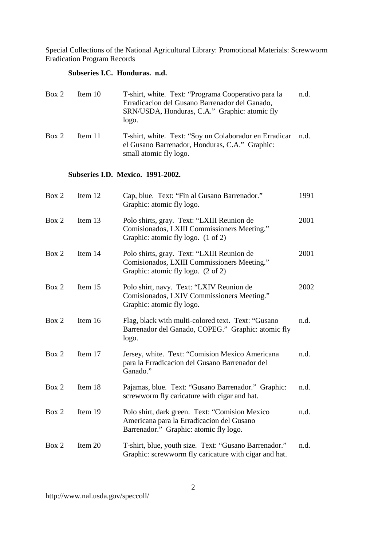# **Subseries I.C. Honduras. n.d.**

| Box 2 | Item $10$ | T-shirt, white. Text: "Programa Cooperativo para la<br>Erradicacion del Gusano Barrenador del Ganado,<br>SRN/USDA, Honduras, C.A." Graphic: atomic fly<br>logo. | n.d. |
|-------|-----------|-----------------------------------------------------------------------------------------------------------------------------------------------------------------|------|
| Box 2 | Item 11   | T-shirt, white. Text: "Soy un Colaborador en Erradicar"<br>el Gusano Barrenador, Honduras, C.A." Graphic:<br>small atomic fly logo.                             | n.d. |

### **Subseries I.D. Mexico. 1991-2002.**

| Box 2 | Item 12 | Cap, blue. Text: "Fin al Gusano Barrenador."<br>Graphic: atomic fly logo.                                                             | 1991 |
|-------|---------|---------------------------------------------------------------------------------------------------------------------------------------|------|
| Box 2 | Item 13 | Polo shirts, gray. Text: "LXIII Reunion de<br>Comisionados, LXIII Commissioners Meeting."<br>Graphic: atomic fly logo. (1 of 2)       | 2001 |
| Box 2 | Item 14 | Polo shirts, gray. Text: "LXIII Reunion de<br>Comisionados, LXIII Commissioners Meeting."<br>Graphic: atomic fly logo. (2 of 2)       | 2001 |
| Box 2 | Item 15 | Polo shirt, navy. Text: "LXIV Reunion de<br>Comisionados, LXIV Commissioners Meeting."<br>Graphic: atomic fly logo.                   | 2002 |
| Box 2 | Item 16 | Flag, black with multi-colored text. Text: "Gusano<br>Barrenador del Ganado, COPEG." Graphic: atomic fly<br>logo.                     | n.d. |
| Box 2 | Item 17 | Jersey, white. Text: "Comision Mexico Americana<br>para la Erradicacion del Gusano Barrenador del<br>Ganado."                         | n.d. |
| Box 2 | Item 18 | Pajamas, blue. Text: "Gusano Barrenador." Graphic:<br>screwworm fly caricature with cigar and hat.                                    | n.d. |
| Box 2 | Item 19 | Polo shirt, dark green. Text: "Comision Mexico<br>Americana para la Erradicacion del Gusano<br>Barrenador." Graphic: atomic fly logo. | n.d. |
| Box 2 | Item 20 | T-shirt, blue, youth size. Text: "Gusano Barrenador."<br>Graphic: screwworm fly caricature with cigar and hat.                        | n.d. |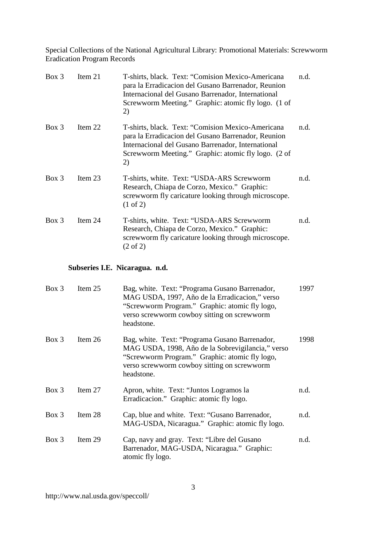| $Box\$   | Item 21 | T-shirts, black. Text: "Comision Mexico-Americana<br>para la Erradicacion del Gusano Barrenador, Reunion<br>Internacional del Gusano Barrenador, International<br>Screwworm Meeting." Graphic: atomic fly logo. (1 of<br>2)  | n.d. |
|----------|---------|------------------------------------------------------------------------------------------------------------------------------------------------------------------------------------------------------------------------------|------|
| $Box\ 3$ | Item 22 | T-shirts, black. Text: "Comision Mexico-Americana"<br>para la Erradicacion del Gusano Barrenador, Reunion<br>Internacional del Gusano Barrenador, International<br>Screwworm Meeting." Graphic: atomic fly logo. (2 of<br>2) | n.d. |
| $Box\ 3$ | Item 23 | T-shirts, white. Text: "USDA-ARS Screwworm<br>Research, Chiapa de Corzo, Mexico." Graphic:<br>screwworm fly caricature looking through microscope.<br>$(1 \text{ of } 2)$                                                    | n.d. |
| $Box\$   | Item 24 | T-shirts, white. Text: "USDA-ARS Screwworm<br>Research, Chiapa de Corzo, Mexico." Graphic:<br>screwworm fly caricature looking through microscope.<br>$(2 \text{ of } 2)$                                                    | n.d. |

# **Subseries I.E. Nicaragua. n.d.**

| $Box\ 3$ | Item $25$ | Bag, white. Text: "Programa Gusano Barrenador,<br>MAG USDA, 1997, Año de la Erradicacion," verso<br>"Screwworm Program." Graphic: atomic fly logo,<br>verso screwworm cowboy sitting on screwworm<br>headstone.    | 1997 |
|----------|-----------|--------------------------------------------------------------------------------------------------------------------------------------------------------------------------------------------------------------------|------|
| $Box\ 3$ | Item $26$ | Bag, white. Text: "Programa Gusano Barrenador,<br>MAG USDA, 1998, Año de la Sobrevigilancia," verso<br>"Screwworm Program." Graphic: atomic fly logo,<br>verso screwworm cowboy sitting on screwworm<br>headstone. | 1998 |
| $Box\ 3$ | Item $27$ | Apron, white. Text: "Juntos Logramos la<br>Erradicacion." Graphic: atomic fly logo.                                                                                                                                | n.d. |
| $Box\ 3$ | Item 28   | Cap, blue and white. Text: "Gusano Barrenador,<br>MAG-USDA, Nicaragua." Graphic: atomic fly logo.                                                                                                                  | n.d. |
| $Box\ 3$ | Item 29   | Cap, navy and gray. Text: "Libre del Gusano"<br>Barrenador, MAG-USDA, Nicaragua." Graphic:<br>atomic fly logo.                                                                                                     | n.d. |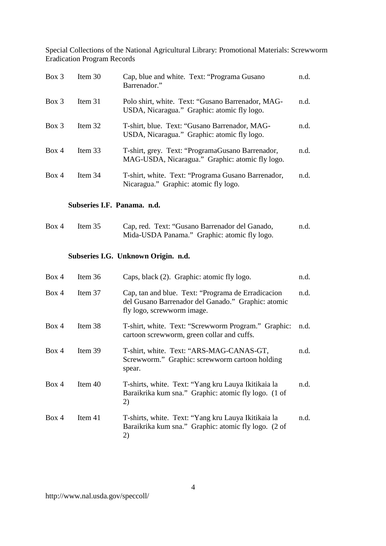| $Box\$   | Item $30$ | Cap, blue and white. Text: "Programa Gusano<br>Barrenador."                                         | n.d. |
|----------|-----------|-----------------------------------------------------------------------------------------------------|------|
| $Box\ 3$ | Item $31$ | Polo shirt, white. Text: "Gusano Barrenador, MAG-<br>USDA, Nicaragua." Graphic: atomic fly logo.    | n.d. |
| $Box\ 3$ | Item 32   | T-shirt, blue. Text: "Gusano Barrenador, MAG-<br>USDA, Nicaragua." Graphic: atomic fly logo.        | n.d. |
| Box 4    | Item 33   | T-shirt, grey. Text: "ProgramaGusano Barrenador,<br>MAG-USDA, Nicaragua." Graphic: atomic fly logo. | n.d. |
| Box 4    | Item 34   | T-shirt, white. Text: "Programa Gusano Barrenador,<br>Nicaragua." Graphic: atomic fly logo.         | n.d. |

### **Subseries I.F. Panama. n.d.**

| Box 4 | Item $35$ | Cap, red. Text: "Gusano Barrenador del Ganado, | n.d. |
|-------|-----------|------------------------------------------------|------|
|       |           | Mida-USDA Panama." Graphic: atomic fly logo.   |      |

# **Subseries I.G. Unknown Origin. n.d.**

| Box 4 | Item $36$ | Caps, black (2). Graphic: atomic fly logo.                                                                                              | n.d. |
|-------|-----------|-----------------------------------------------------------------------------------------------------------------------------------------|------|
| Box 4 | Item 37   | Cap, tan and blue. Text: "Programa de Erradicacion"<br>del Gusano Barrenador del Ganado." Graphic: atomic<br>fly logo, screwworm image. | n.d. |
| Box 4 | Item 38   | T-shirt, white. Text: "Screwworm Program." Graphic:<br>cartoon screwworm, green collar and cuffs.                                       | n.d. |
| Box 4 | Item 39   | T-shirt, white. Text: "ARS-MAG-CANAS-GT,<br>Screwworm." Graphic: screwworm cartoon holding<br>spear.                                    | n.d. |
| Box 4 | Item $40$ | T-shirts, white. Text: "Yang kru Lauya Ikitikaia la<br>Baraikrika kum sna." Graphic: atomic fly logo. (1 of<br>2)                       | n.d. |
| Box 4 | Item $41$ | T-shirts, white. Text: "Yang kru Lauya Ikitikaia la<br>Baraikrika kum sna." Graphic: atomic fly logo. (2 of<br>2)                       | n.d. |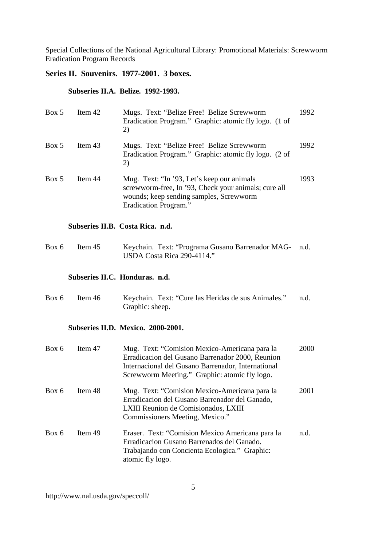# **Series II. Souvenirs. 1977-2001. 3 boxes.**

# **Subseries II.A. Belize. 1992-1993.**

| Box 5 | Item 42                        | Mugs. Text: "Belize Free! Belize Screwworm<br>Eradication Program." Graphic: atomic fly logo. (1 of<br>2)                                                                                                | 1992 |
|-------|--------------------------------|----------------------------------------------------------------------------------------------------------------------------------------------------------------------------------------------------------|------|
| Box 5 | Item 43                        | Mugs. Text: "Belize Free! Belize Screwworm<br>Eradication Program." Graphic: atomic fly logo. (2 of<br>2)                                                                                                | 1992 |
| Box 5 | Item 44                        | Mug. Text: "In '93, Let's keep our animals<br>screwworm-free, In '93, Check your animals; cure all<br>wounds; keep sending samples, Screwworm<br>Eradication Program."                                   | 1993 |
|       |                                | Subseries II.B. Costa Rica. n.d.                                                                                                                                                                         |      |
| Box 6 | Item 45                        | Keychain. Text: "Programa Gusano Barrenador MAG-<br>USDA Costa Rica 290-4114."                                                                                                                           | n.d. |
|       | Subseries II.C. Honduras. n.d. |                                                                                                                                                                                                          |      |
| Box 6 | Item 46                        | Keychain. Text: "Cure las Heridas de sus Animales."<br>Graphic: sheep.                                                                                                                                   | n.d. |
|       |                                | Subseries II.D. Mexico. 2000-2001.                                                                                                                                                                       |      |
| Box 6 | Item 47                        | Mug. Text: "Comision Mexico-Americana para la<br>Erradicacion del Gusano Barrenador 2000, Reunion<br>Internacional del Gusano Barrenador, International<br>Screwworm Meeting." Graphic: atomic fly logo. | 2000 |
| Box 6 | Item 48                        | Mug. Text: "Comision Mexico-Americana para la<br>Erradicacion del Gusano Barrenador del Ganado,<br>LXIII Reunion de Comisionados, LXIII<br>Commissioners Meeting, Mexico."                               | 2001 |
| Box 6 | Item 49                        | Eraser. Text: "Comision Mexico Americana para la<br>Erradicacion Gusano Barrenados del Ganado.<br>Trabajando con Concienta Ecologica." Graphic:<br>atomic fly logo.                                      | n.d. |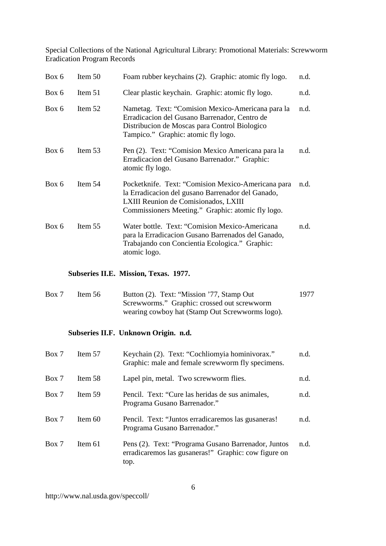| Box 6 | Item 50   | Foam rubber keychains (2). Graphic: atomic fly logo.                                                                                                                                                 | n.d. |
|-------|-----------|------------------------------------------------------------------------------------------------------------------------------------------------------------------------------------------------------|------|
| Box 6 | Item 51   | Clear plastic keychain. Graphic: atomic fly logo.                                                                                                                                                    | n.d. |
| Box 6 | Item $52$ | Nametag. Text: "Comision Mexico-Americana para la<br>Erradicacion del Gusano Barrenador, Centro de<br>Distribucion de Moscas para Control Biologico<br>Tampico." Graphic: atomic fly logo.           | n.d. |
| Box 6 | Item 53   | Pen (2). Text: "Comision Mexico Americana para la<br>Erradicacion del Gusano Barrenador." Graphic:<br>atomic fly logo.                                                                               | n.d. |
| Box 6 | Item $54$ | Pocketknife. Text: "Comision Mexico-Americana para<br>la Erradicacion del gusano Barrenador del Ganado,<br>LXIII Reunion de Comisionados, LXIII<br>Commissioners Meeting." Graphic: atomic fly logo. | n.d. |
| Box 6 | Item 55   | Water bottle. Text: "Comision Mexico-Americana<br>para la Erradicacion Gusano Barrenados del Ganado,<br>Trabajando con Concientia Ecologica." Graphic:<br>atomic logo.                               | n.d. |

#### **Subseries II.E. Mission, Texas. 1977.**

| Box 7 | Item $56$ | Button (2). Text: "Mission '77, Stamp Out       | 1977 |
|-------|-----------|-------------------------------------------------|------|
|       |           | Screwworms." Graphic: crossed out screwworm     |      |
|       |           | wearing cowboy hat (Stamp Out Screwworms logo). |      |

# **Subseries II.F. Unknown Origin. n.d.**

| Box 7 | Item 57   | Keychain (2). Text: "Cochliomyia hominivorax."<br>Graphic: male and female screwworm fly specimens.                 | n.d. |
|-------|-----------|---------------------------------------------------------------------------------------------------------------------|------|
| Box 7 | Item 58   | Lapel pin, metal. Two screwworm flies.                                                                              | n.d. |
| Box 7 | Item 59   | Pencil. Text: "Cure las heridas de sus animales,<br>Programa Gusano Barrenador."                                    | n.d. |
| Box 7 | Item $60$ | Pencil. Text: "Juntos erradicaremos las gusaneras!<br>Programa Gusano Barrenador."                                  | n.d. |
| Box 7 | Item $61$ | Pens (2). Text: "Programa Gusano Barrenador, Juntos<br>erradicaremos las gusaneras!" Graphic: cow figure on<br>top. | n.d. |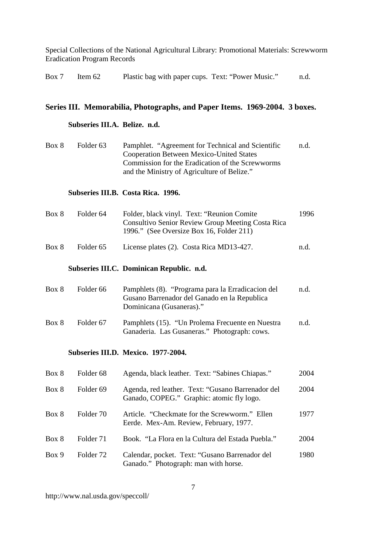| Box 7 Item 62 |  |  | Plastic bag with paper cups. Text: "Power Music." |  |  | n.d. |
|---------------|--|--|---------------------------------------------------|--|--|------|
|---------------|--|--|---------------------------------------------------|--|--|------|

# **Series III. Memorabilia, Photographs, and Paper Items. 1969-2004. 3 boxes.**

### **Subseries III.A. Belize. n.d.**

| Box 8 | Folder 63 | Pamphlet. "Agreement for Technical and Scientific | n.d. |
|-------|-----------|---------------------------------------------------|------|
|       |           | <b>Cooperation Between Mexico-United States</b>   |      |
|       |           | Commission for the Eradication of the Screwworms  |      |
|       |           | and the Ministry of Agriculture of Belize."       |      |

### **Subseries III.B. Costa Rica. 1996.**

| Box 8 | Folder 64 | Folder, black vinyl. Text: "Reunion Comite"       | 1996 |
|-------|-----------|---------------------------------------------------|------|
|       |           | Consultivo Senior Review Group Meeting Costa Rica |      |
|       |           | 1996." (See Oversize Box 16, Folder 211)          |      |
|       |           |                                                   |      |

# Box 8 Folder 65 License plates (2). Costa Rica MD13-427. n.d.

#### **Subseries III.C. Dominican Republic. n.d.**

| Box 8 | Folder 66 | Pamphlets (8). "Programa para la Erradicacion del<br>Gusano Barrenador del Ganado en la Republica<br>Dominicana (Gusaneras)." | n.d. |
|-------|-----------|-------------------------------------------------------------------------------------------------------------------------------|------|
| Box 8 | Folder 67 | Pamphlets (15). "Un Prolema Frecuente en Nuestra<br>Ganaderia. Las Gusaneras." Photograph: cows.                              | n.d. |

#### **Subseries III.D. Mexico. 1977-2004.**

| Box 8 | Folder <sub>68</sub> | Agenda, black leather. Text: "Sabines Chiapas."                                                | 2004 |
|-------|----------------------|------------------------------------------------------------------------------------------------|------|
| Box 8 | Folder <sub>69</sub> | Agenda, red leather. Text: "Gusano Barrenador del<br>Ganado, COPEG." Graphic: atomic fly logo. | 2004 |
| Box 8 | Folder 70            | Article. "Checkmate for the Screwworm." Ellen<br>Eerde. Mex-Am. Review, February, 1977.        | 1977 |
| Box 8 | Folder 71            | Book. "La Flora en la Cultura del Estada Puebla."                                              | 2004 |
| Box 9 | Folder 72            | Calendar, pocket. Text: "Gusano Barrenador del<br>Ganado." Photograph: man with horse.         | 1980 |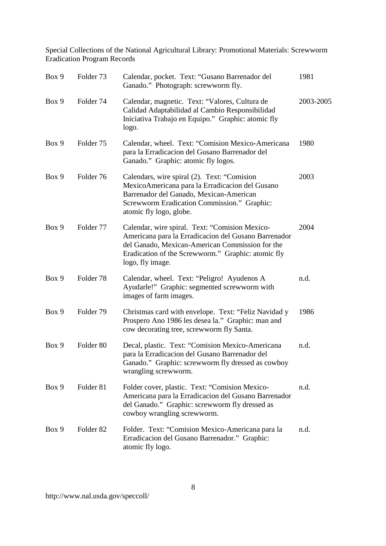| Box 9 | Folder 73            | Calendar, pocket. Text: "Gusano Barrenador del<br>Ganado." Photograph: screwworm fly.                                                                                                                                               | 1981      |
|-------|----------------------|-------------------------------------------------------------------------------------------------------------------------------------------------------------------------------------------------------------------------------------|-----------|
| Box 9 | Folder 74            | Calendar, magnetic. Text: "Valores, Cultura de<br>Calidad Adaptabilidad al Cambio Responsibilidad<br>Iniciativa Trabajo en Equipo." Graphic: atomic fly<br>logo.                                                                    | 2003-2005 |
| Box 9 | Folder 75            | Calendar, wheel. Text: "Comision Mexico-Americana<br>para la Erradicacion del Gusano Barrenador del<br>Ganado." Graphic: atomic fly logos.                                                                                          | 1980      |
| Box 9 | Folder 76            | Calendars, wire spiral (2). Text: "Comision<br>MexicoAmericana para la Erradicacion del Gusano<br>Barrenador del Ganado, Mexican-American<br>Screwworm Eradication Commission." Graphic:<br>atomic fly logo, globe.                 | 2003      |
| Box 9 | Folder 77            | Calendar, wire spiral. Text: "Comision Mexico-<br>Americana para la Erradicacion del Gusano Barrenador<br>del Ganado, Mexican-American Commission for the<br>Eradication of the Screwworm." Graphic: atomic fly<br>logo, fly image. | 2004      |
| Box 9 | Folder <sub>78</sub> | Calendar, wheel. Text: "Peligro! Ayudenos A<br>Ayudarle!" Graphic: segmented screwworm with<br>images of farm images.                                                                                                               | n.d.      |
| Box 9 | Folder 79            | Christmas card with envelope. Text: "Feliz Navidad y<br>Prospero Ano 1986 les desea la." Graphic: man and<br>cow decorating tree, screwworm fly Santa.                                                                              | 1986      |
| Box 9 | Folder <sub>80</sub> | Decal, plastic. Text: "Comision Mexico-Americana<br>para la Erradicacion del Gusano Barrenador del<br>Ganado." Graphic: screwworm fly dressed as cowboy<br>wrangling screwworm.                                                     | n.d.      |
| Box 9 | Folder 81            | Folder cover, plastic. Text: "Comision Mexico-<br>Americana para la Erradicacion del Gusano Barrenador<br>del Ganado." Graphic: screwworm fly dressed as<br>cowboy wrangling screwworm.                                             | n.d.      |
| Box 9 | Folder <sub>82</sub> | Folder. Text: "Comision Mexico-Americana para la<br>Erradicacion del Gusano Barrenador." Graphic:<br>atomic fly logo.                                                                                                               | n.d.      |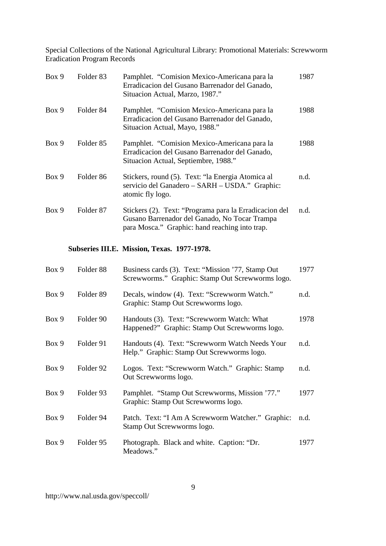| Box 9 | Folder <sub>83</sub> | Pamphlet. "Comision Mexico-Americana para la<br>Erradicacion del Gusano Barrenador del Ganado,<br>Situacion Actual, Marzo, 1987."                         | 1987 |
|-------|----------------------|-----------------------------------------------------------------------------------------------------------------------------------------------------------|------|
| Box 9 | Folder <sub>84</sub> | Pamphlet. "Comision Mexico-Americana para la<br>Erradicacion del Gusano Barrenador del Ganado,<br>Situacion Actual, Mayo, 1988."                          | 1988 |
| Box 9 | Folder <sub>85</sub> | Pamphlet. "Comision Mexico-Americana para la<br>Erradicacion del Gusano Barrenador del Ganado,<br>Situacion Actual, Septiembre, 1988."                    | 1988 |
| Box 9 | Folder <sub>86</sub> | Stickers, round (5). Text: "la Energia Atomica al<br>servicio del Ganadero - SARH - USDA." Graphic:<br>atomic fly logo.                                   | n.d. |
| Box 9 | Folder <sub>87</sub> | Stickers (2). Text: "Programa para la Erradicacion del<br>Gusano Barrenador del Ganado, No Tocar Trampa<br>para Mosca." Graphic: hand reaching into trap. | n.d. |
|       |                      | Subseries III.E. Mission, Texas. 1977-1978.                                                                                                               |      |
|       |                      |                                                                                                                                                           |      |
| Box 9 | Folder <sub>88</sub> | Business cards (3). Text: "Mission '77, Stamp Out<br>Screwworms." Graphic: Stamp Out Screwworms logo.                                                     | 1977 |
| Box 9 | Folder <sub>89</sub> | Decals, window (4). Text: "Screwworm Watch."<br>Graphic: Stamp Out Screwworms logo.                                                                       | n.d. |
| Box 9 | Folder 90            | Handouts (3). Text: "Screwworm Watch: What<br>Happened?" Graphic: Stamp Out Screwworms logo.                                                              | 1978 |
| Box 9 | Folder 91            | Handouts (4). Text: "Screwworm Watch Needs Your<br>Help." Graphic: Stamp Out Screwworms logo.                                                             | n.d. |
| Box 9 | Folder 92            | Logos. Text: "Screwworm Watch." Graphic: Stamp<br>Out Screwworms logo.                                                                                    | n.d. |
| Box 9 | Folder 93            | Pamphlet. "Stamp Out Screwworms, Mission '77."<br>Graphic: Stamp Out Screwworms logo.                                                                     | 1977 |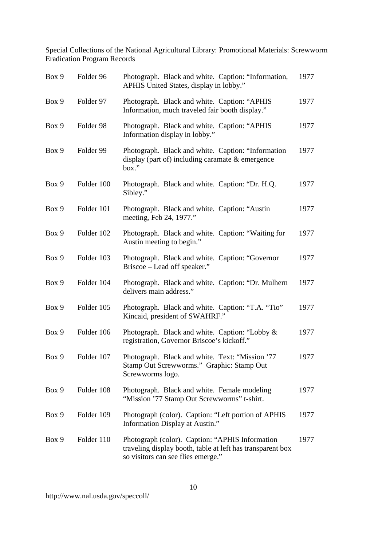| Box 9 | Folder 96  | Photograph. Black and white. Caption: "Information,<br>APHIS United States, display in lobby."                                                      | 1977 |
|-------|------------|-----------------------------------------------------------------------------------------------------------------------------------------------------|------|
| Box 9 | Folder 97  | Photograph. Black and white. Caption: "APHIS<br>Information, much traveled fair booth display."                                                     | 1977 |
| Box 9 | Folder 98  | Photograph. Black and white. Caption: "APHIS<br>Information display in lobby."                                                                      | 1977 |
| Box 9 | Folder 99  | Photograph. Black and white. Caption: "Information<br>display (part of) including caramate $\&$ emergence<br>box."                                  | 1977 |
| Box 9 | Folder 100 | Photograph. Black and white. Caption: "Dr. H.Q.<br>Sibley."                                                                                         | 1977 |
| Box 9 | Folder 101 | Photograph. Black and white. Caption: "Austin<br>meeting, Feb 24, 1977."                                                                            | 1977 |
| Box 9 | Folder 102 | Photograph. Black and white. Caption: "Waiting for<br>Austin meeting to begin."                                                                     | 1977 |
| Box 9 | Folder 103 | Photograph. Black and white. Caption: "Governor<br>Briscoe – Lead off speaker."                                                                     | 1977 |
| Box 9 | Folder 104 | Photograph. Black and white. Caption: "Dr. Mulhern<br>delivers main address."                                                                       | 1977 |
| Box 9 | Folder 105 | Photograph. Black and white. Caption: "T.A. "Tio"<br>Kincaid, president of SWAHRF."                                                                 | 1977 |
| Box 9 | Folder 106 | Photograph. Black and white. Caption: "Lobby &<br>registration, Governor Briscoe's kickoff."                                                        | 1977 |
| Box 9 | Folder 107 | Photograph. Black and white. Text: "Mission '77<br>Stamp Out Screwworms." Graphic: Stamp Out<br>Screwworms logo.                                    | 1977 |
| Box 9 | Folder 108 | Photograph. Black and white. Female modeling<br>"Mission '77 Stamp Out Screwworms" t-shirt.                                                         | 1977 |
| Box 9 | Folder 109 | Photograph (color). Caption: "Left portion of APHIS<br>Information Display at Austin."                                                              | 1977 |
| Box 9 | Folder 110 | Photograph (color). Caption: "APHIS Information<br>traveling display booth, table at left has transparent box<br>so visitors can see flies emerge." | 1977 |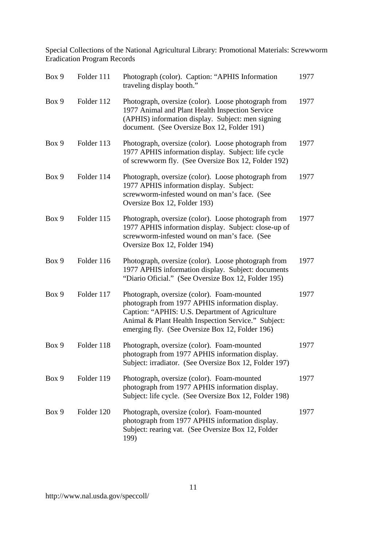| Box 9 | Folder 111 | Photograph (color). Caption: "APHIS Information<br>traveling display booth."                                                                                                                                                                               | 1977 |
|-------|------------|------------------------------------------------------------------------------------------------------------------------------------------------------------------------------------------------------------------------------------------------------------|------|
| Box 9 | Folder 112 | Photograph, oversize (color). Loose photograph from<br>1977 Animal and Plant Health Inspection Service<br>(APHIS) information display. Subject: men signing<br>document. (See Oversize Box 12, Folder 191)                                                 | 1977 |
| Box 9 | Folder 113 | Photograph, oversize (color). Loose photograph from<br>1977 APHIS information display. Subject: life cycle<br>of screwworm fly. (See Oversize Box 12, Folder 192)                                                                                          | 1977 |
| Box 9 | Folder 114 | Photograph, oversize (color). Loose photograph from<br>1977 APHIS information display. Subject:<br>screwworm-infested wound on man's face. (See<br>Oversize Box 12, Folder 193)                                                                            | 1977 |
| Box 9 | Folder 115 | Photograph, oversize (color). Loose photograph from<br>1977 APHIS information display. Subject: close-up of<br>screwworm-infested wound on man's face. (See<br>Oversize Box 12, Folder 194)                                                                | 1977 |
| Box 9 | Folder 116 | Photograph, oversize (color). Loose photograph from<br>1977 APHIS information display. Subject: documents<br>"Diario Oficial." (See Oversize Box 12, Folder 195)                                                                                           | 1977 |
| Box 9 | Folder 117 | Photograph, oversize (color). Foam-mounted<br>photograph from 1977 APHIS information display.<br>Caption: "APHIS: U.S. Department of Agriculture<br>Animal & Plant Health Inspection Service." Subject:<br>emerging fly. (See Oversize Box 12, Folder 196) | 1977 |
| Box 9 | Folder 118 | Photograph, oversize (color). Foam-mounted<br>photograph from 1977 APHIS information display.<br>Subject: irradiator. (See Oversize Box 12, Folder 197)                                                                                                    | 1977 |
| Box 9 | Folder 119 | Photograph, oversize (color). Foam-mounted<br>photograph from 1977 APHIS information display.<br>Subject: life cycle. (See Oversize Box 12, Folder 198)                                                                                                    | 1977 |
| Box 9 | Folder 120 | Photograph, oversize (color). Foam-mounted<br>photograph from 1977 APHIS information display.<br>Subject: rearing vat. (See Oversize Box 12, Folder<br>199)                                                                                                | 1977 |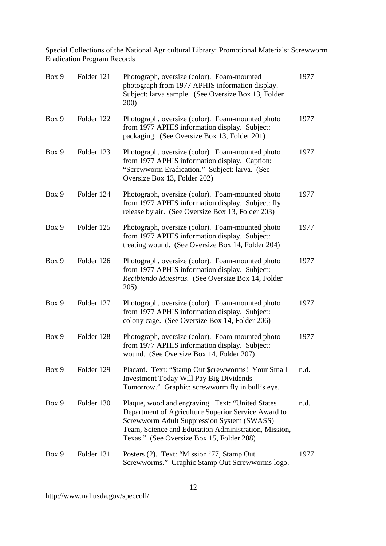| Box 9 | Folder 121 | Photograph, oversize (color). Foam-mounted<br>photograph from 1977 APHIS information display.<br>Subject: larva sample. (See Oversize Box 13, Folder<br>200)                                                                                               | 1977 |
|-------|------------|------------------------------------------------------------------------------------------------------------------------------------------------------------------------------------------------------------------------------------------------------------|------|
| Box 9 | Folder 122 | Photograph, oversize (color). Foam-mounted photo<br>from 1977 APHIS information display. Subject:<br>packaging. (See Oversize Box 13, Folder 201)                                                                                                          | 1977 |
| Box 9 | Folder 123 | Photograph, oversize (color). Foam-mounted photo<br>from 1977 APHIS information display. Caption:<br>"Screwworm Eradication." Subject: larva. (See<br>Oversize Box 13, Folder 202)                                                                         | 1977 |
| Box 9 | Folder 124 | Photograph, oversize (color). Foam-mounted photo<br>from 1977 APHIS information display. Subject: fly<br>release by air. (See Oversize Box 13, Folder 203)                                                                                                 | 1977 |
| Box 9 | Folder 125 | Photograph, oversize (color). Foam-mounted photo<br>from 1977 APHIS information display. Subject:<br>treating wound. (See Oversize Box 14, Folder 204)                                                                                                     | 1977 |
| Box 9 | Folder 126 | Photograph, oversize (color). Foam-mounted photo<br>from 1977 APHIS information display. Subject:<br>Recibiendo Muestras. (See Oversize Box 14, Folder<br>205)                                                                                             | 1977 |
| Box 9 | Folder 127 | Photograph, oversize (color). Foam-mounted photo<br>from 1977 APHIS information display. Subject:<br>colony cage. (See Oversize Box 14, Folder 206)                                                                                                        | 1977 |
| Box 9 | Folder 128 | Photograph, oversize (color). Foam-mounted photo<br>from 1977 APHIS information display. Subject:<br>wound. (See Oversize Box 14, Folder 207)                                                                                                              | 1977 |
| Box 9 | Folder 129 | Placard. Text: "\$tamp Out \$crewworms! Your Small<br><b>Investment Today Will Pay Big Dividends</b><br>Tomorrow." Graphic: screwworm fly in bull's eye.                                                                                                   | n.d. |
| Box 9 | Folder 130 | Plaque, wood and engraving. Text: "United States<br>Department of Agriculture Superior Service Award to<br>Screwworm Adult Suppression System (SWASS)<br>Team, Science and Education Administration, Mission,<br>Texas." (See Oversize Box 15, Folder 208) | n.d. |
| Box 9 | Folder 131 | Posters (2). Text: "Mission '77, Stamp Out<br>Screwworms." Graphic Stamp Out Screwworms logo.                                                                                                                                                              | 1977 |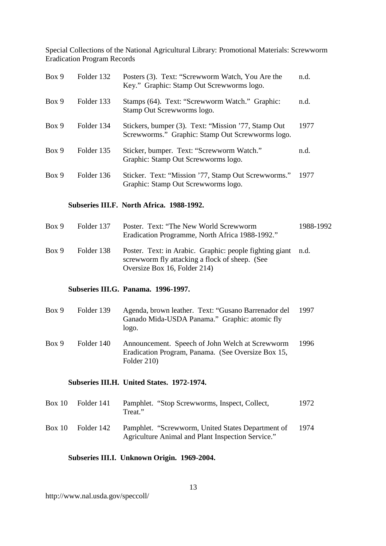| Box 9 | Folder 132 | Posters (3). Text: "Screwworm Watch, You Are the<br>Key." Graphic: Stamp Out Screwworms logo.           | n.d. |
|-------|------------|---------------------------------------------------------------------------------------------------------|------|
| Box 9 | Folder 133 | Stamps (64). Text: "Screwworm Watch." Graphic:<br>Stamp Out Screwworms logo.                            | n.d. |
| Box 9 | Folder 134 | Stickers, bumper (3). Text: "Mission '77, Stamp Out<br>Screwworms." Graphic: Stamp Out Screwworms logo. | 1977 |
| Box 9 | Folder 135 | Sticker, bumper. Text: "Screwworm Watch."<br>Graphic: Stamp Out Screwworms logo.                        | n.d. |
| Box 9 | Folder 136 | Sticker. Text: "Mission '77, Stamp Out Screwworms."<br>Graphic: Stamp Out Screwworms logo.              | 1977 |

#### **Subseries III.F. North Africa. 1988-1992.**

| Box 9 | Folder 137 | Poster. Text: "The New World Screwworm<br>Eradication Programme, North Africa 1988-1992."                      | 1988-1992 |
|-------|------------|----------------------------------------------------------------------------------------------------------------|-----------|
| Box 9 | Folder 138 | Poster. Text: in Arabic. Graphic: people fighting giant n.d.<br>screwworm fly attacking a flock of sheep. (See |           |
|       |            | Oversize Box 16, Folder 214)                                                                                   |           |

#### **Subseries III.G. Panama. 1996-1997.**

| Box 9 | Folder 139 | Agenda, brown leather. Text: "Gusano Barrenador del<br>Ganado Mida-USDA Panama." Graphic: atomic fly<br>10.80 | 1997 |
|-------|------------|---------------------------------------------------------------------------------------------------------------|------|
| Box 9 | Folder 140 | Announcement. Speech of John Welch at Screwworm                                                               | 1996 |

Eradication Program, Panama. (See Oversize Box 15, Folder 210) 1996

### **Subseries III.H. United States. 1972-1974.**

| Box 10 | Folder 141 | Pamphlet. "Stop Screwworms, Inspect, Collect,<br>Treat."                                               | 1972 |
|--------|------------|--------------------------------------------------------------------------------------------------------|------|
| Box 10 | Folder 142 | Pamphlet. "Screwworm, United States Department of<br>Agriculture Animal and Plant Inspection Service." | 1974 |

### **Subseries III.I. Unknown Origin. 1969-2004.**

http://www.nal.usda.gov/speccoll/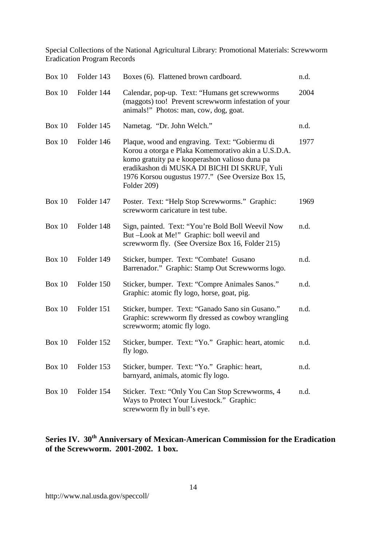| Box 10        | Folder 143 | Boxes (6). Flattened brown cardboard.                                                                                                                                                                                                                                       | n.d. |
|---------------|------------|-----------------------------------------------------------------------------------------------------------------------------------------------------------------------------------------------------------------------------------------------------------------------------|------|
| <b>Box 10</b> | Folder 144 | Calendar, pop-up. Text: "Humans get screwworms<br>(maggots) too! Prevent screwworm infestation of your<br>animals!" Photos: man, cow, dog, goat.                                                                                                                            | 2004 |
| Box $10$      | Folder 145 | Nametag. "Dr. John Welch."                                                                                                                                                                                                                                                  | n.d. |
| Box $10$      | Folder 146 | Plaque, wood and engraving. Text: "Gobiermu di<br>Korou a otorga e Plaka Komemorativo akin a U.S.D.A.<br>komo gratuity pa e kooperashon valioso duna pa<br>eradikashon di MUSKA DI BICHI DI SKRUF, Yuli<br>1976 Korsou ougustus 1977." (See Oversize Box 15,<br>Folder 209) | 1977 |
| Box 10        | Folder 147 | Poster. Text: "Help Stop Screwworms." Graphic:<br>screwworm caricature in test tube.                                                                                                                                                                                        | 1969 |
| Box $10$      | Folder 148 | Sign, painted. Text: "You're Bold Boll Weevil Now<br>But-Look at Me!" Graphic: boll weevil and<br>screwworm fly. (See Oversize Box 16, Folder 215)                                                                                                                          | n.d. |
| Box $10$      | Folder 149 | Sticker, bumper. Text: "Combate! Gusano<br>Barrenador." Graphic: Stamp Out Screwworms logo.                                                                                                                                                                                 | n.d. |
| Box 10        | Folder 150 | Sticker, bumper. Text: "Compre Animales Sanos."<br>Graphic: atomic fly logo, horse, goat, pig.                                                                                                                                                                              | n.d. |
| Box 10        | Folder 151 | Sticker, bumper. Text: "Ganado Sano sin Gusano."<br>Graphic: screwworm fly dressed as cowboy wrangling<br>screwworm; atomic fly logo.                                                                                                                                       | n.d. |
| Box $10$      | Folder 152 | Sticker, bumper. Text: "Yo." Graphic: heart, atomic<br>fly logo.                                                                                                                                                                                                            | n.d. |
| <b>Box 10</b> | Folder 153 | Sticker, bumper. Text: "Yo." Graphic: heart,<br>barnyard, animals, atomic fly logo.                                                                                                                                                                                         | n.d. |
| Box $10$      | Folder 154 | Sticker. Text: "Only You Can Stop Screwworms, 4<br>Ways to Protect Your Livestock." Graphic:<br>screwworm fly in bull's eye.                                                                                                                                                | n.d. |

# **Series IV. 30th Anniversary of Mexican-American Commission for the Eradication of the Screwworm. 2001-2002. 1 box.**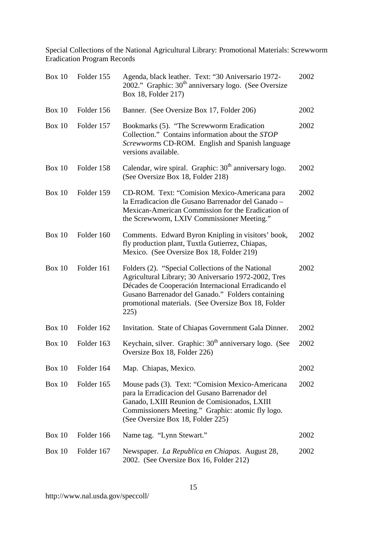| <b>Box 10</b> | Folder 155 | Agenda, black leather. Text: "30 Aniversario 1972-<br>2002." Graphic: $30th$ anniversary logo. (See Oversize<br>Box 18, Folder 217)                                                                                                                                                  | 2002 |
|---------------|------------|--------------------------------------------------------------------------------------------------------------------------------------------------------------------------------------------------------------------------------------------------------------------------------------|------|
| Box $10$      | Folder 156 | Banner. (See Oversize Box 17, Folder 206)                                                                                                                                                                                                                                            | 2002 |
| Box $10$      | Folder 157 | Bookmarks (5). "The Screwworm Eradication<br>Collection." Contains information about the STOP<br>Screwworms CD-ROM. English and Spanish language<br>versions available.                                                                                                              | 2002 |
| <b>Box 10</b> | Folder 158 | Calendar, wire spiral. Graphic: 30 <sup>th</sup> anniversary logo.<br>(See Oversize Box 18, Folder 218)                                                                                                                                                                              | 2002 |
| <b>Box 10</b> | Folder 159 | CD-ROM. Text: "Comision Mexico-Americana para<br>la Erradicacion dle Gusano Barrenador del Ganado -<br>Mexican-American Commission for the Eradication of<br>the Screwworm, LXIV Commissioner Meeting."                                                                              | 2002 |
| <b>Box 10</b> | Folder 160 | Comments. Edward Byron Knipling in visitors' book,<br>fly production plant, Tuxtla Gutierrez, Chiapas,<br>Mexico. (See Oversize Box 18, Folder 219)                                                                                                                                  | 2002 |
| <b>Box 10</b> | Folder 161 | Folders (2). "Special Collections of the National<br>Agricultural Library; 30 Aniversario 1972-2002, Tres<br>Décades de Cooperación Internacional Erradicando el<br>Gusano Barrenador del Ganado." Folders containing<br>promotional materials. (See Oversize Box 18, Folder<br>225) | 2002 |
| <b>Box 10</b> | Folder 162 | Invitation. State of Chiapas Government Gala Dinner.                                                                                                                                                                                                                                 | 2002 |
| <b>Box 10</b> | Folder 163 | Keychain, silver. Graphic: 30 <sup>th</sup> anniversary logo. (See<br>Oversize Box 18, Folder 226)                                                                                                                                                                                   | 2002 |
| <b>Box 10</b> | Folder 164 | Map. Chiapas, Mexico.                                                                                                                                                                                                                                                                | 2002 |
| <b>Box 10</b> | Folder 165 | Mouse pads (3). Text: "Comision Mexico-Americana<br>para la Erradicacion del Gusano Barrenador del<br>Ganado, LXIII Reunion de Comisionados, LXIII<br>Commissioners Meeting." Graphic: atomic fly logo.<br>(See Oversize Box 18, Folder 225)                                         | 2002 |
| <b>Box 10</b> | Folder 166 | Name tag. "Lynn Stewart."                                                                                                                                                                                                                                                            | 2002 |
| <b>Box 10</b> | Folder 167 | Newspaper. La Republica en Chiapas. August 28,<br>2002. (See Oversize Box 16, Folder 212)                                                                                                                                                                                            | 2002 |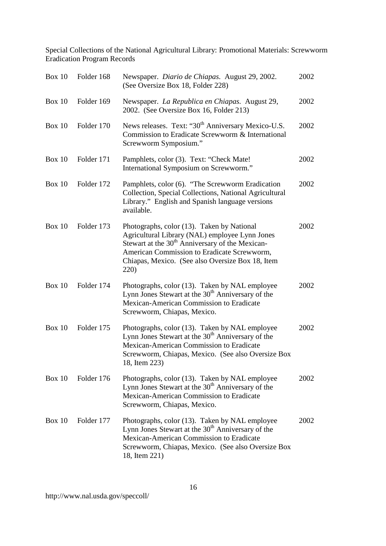| Box 10        | Folder 168 | Newspaper. Diario de Chiapas. August 29, 2002.<br>(See Oversize Box 18, Folder 228)                                                                                                                                                                                    | 2002 |
|---------------|------------|------------------------------------------------------------------------------------------------------------------------------------------------------------------------------------------------------------------------------------------------------------------------|------|
| Box $10$      | Folder 169 | Newspaper. La Republica en Chiapas. August 29,<br>2002. (See Oversize Box 16, Folder 213)                                                                                                                                                                              | 2002 |
| <b>Box 10</b> | Folder 170 | News releases. Text: "30 <sup>th</sup> Anniversary Mexico-U.S.<br>Commission to Eradicate Screwworm & International<br>Screwworm Symposium."                                                                                                                           | 2002 |
| <b>Box 10</b> | Folder 171 | Pamphlets, color (3). Text: "Check Mate!<br>International Symposium on Screwworm."                                                                                                                                                                                     | 2002 |
| <b>Box 10</b> | Folder 172 | Pamphlets, color (6). "The Screwworm Eradication<br>Collection, Special Collections, National Agricultural<br>Library." English and Spanish language versions<br>available.                                                                                            | 2002 |
| <b>Box 10</b> | Folder 173 | Photographs, color (13). Taken by National<br>Agricultural Library (NAL) employee Lynn Jones<br>Stewart at the 30 <sup>th</sup> Anniversary of the Mexican-<br>American Commission to Eradicate Screwworm,<br>Chiapas, Mexico. (See also Oversize Box 18, Item<br>220) | 2002 |
| Box $10$      | Folder 174 | Photographs, color (13). Taken by NAL employee<br>Lynn Jones Stewart at the 30 <sup>th</sup> Anniversary of the<br>Mexican-American Commission to Eradicate<br>Screwworm, Chiapas, Mexico.                                                                             | 2002 |
| <b>Box 10</b> | Folder 175 | Photographs, color (13). Taken by NAL employee<br>Lynn Jones Stewart at the 30 <sup>th</sup> Anniversary of the<br>Mexican-American Commission to Eradicate<br>Screwworm, Chiapas, Mexico. (See also Oversize Box<br>18, Item 223)                                     | 2002 |
| <b>Box 10</b> | Folder 176 | Photographs, color (13). Taken by NAL employee<br>Lynn Jones Stewart at the 30 <sup>th</sup> Anniversary of the<br>Mexican-American Commission to Eradicate<br>Screwworm, Chiapas, Mexico.                                                                             | 2002 |
| Box $10$      | Folder 177 | Photographs, color (13). Taken by NAL employee<br>Lynn Jones Stewart at the 30 <sup>th</sup> Anniversary of the<br>Mexican-American Commission to Eradicate<br>Screwworm, Chiapas, Mexico. (See also Oversize Box<br>18, Item 221)                                     | 2002 |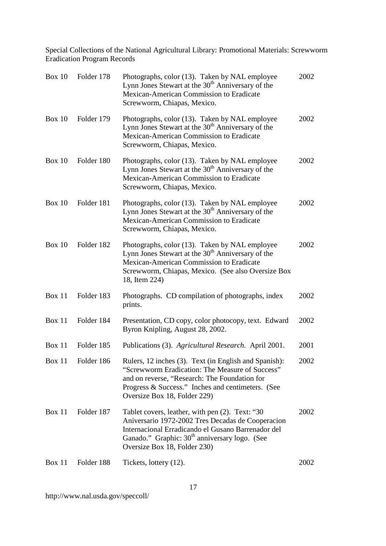| <b>Box 10</b> | Folder 178        | Photographs, color (13). Taken by NAL employee<br>Lynn Jones Stewart at the 30 <sup>th</sup> Anniversary of the<br>Mexican-American Commission to Eradicate<br>Screwworm, Chiapas, Mexico.                                                              | 2002 |
|---------------|-------------------|---------------------------------------------------------------------------------------------------------------------------------------------------------------------------------------------------------------------------------------------------------|------|
| <b>Box 10</b> | Folder 179        | Photographs, color (13). Taken by NAL employee<br>Lynn Jones Stewart at the 30 <sup>th</sup> Anniversary of the<br>Mexican-American Commission to Eradicate<br>Screwworm, Chiapas, Mexico.                                                              | 2002 |
| Box $10$      | Folder 180        | Photographs, color (13). Taken by NAL employee<br>Lynn Jones Stewart at the 30 <sup>th</sup> Anniversary of the<br>Mexican-American Commission to Eradicate<br>Screwworm, Chiapas, Mexico.                                                              | 2002 |
| Box 10        | Folder 181        | Photographs, color (13). Taken by NAL employee<br>Lynn Jones Stewart at the 30 <sup>th</sup> Anniversary of the<br>Mexican-American Commission to Eradicate<br>Screwworm, Chiapas, Mexico.                                                              | 2002 |
| Box $10$      | Folder 182        | Photographs, color (13). Taken by NAL employee<br>Lynn Jones Stewart at the 30 <sup>th</sup> Anniversary of the<br>Mexican-American Commission to Eradicate<br>Screwworm, Chiapas, Mexico. (See also Oversize Box<br>18, Item 224)                      | 2002 |
| Box 11        | Folder 183        | Photographs. CD compilation of photographs, index<br>prints.                                                                                                                                                                                            | 2002 |
| Box 11        | Folder 184        | Presentation, CD copy, color photocopy, text. Edward<br>Byron Knipling, August 28, 2002.                                                                                                                                                                | 2002 |
| Box 11        | Folder 185        | Publications (3). Agricultural Research. April 2001.                                                                                                                                                                                                    | 2001 |
|               | Box 11 Folder 186 | Rulers, 12 inches (3). Text (in English and Spanish):<br>"Screwworm Eradication: The Measure of Success"<br>and on reverse, "Research: The Foundation for<br>Progress & Success." Inches and centimeters. (See<br>Oversize Box 18, Folder 229)          | 2002 |
| <b>Box 11</b> | Folder 187        | Tablet covers, leather, with pen (2). Text: "30<br>Aniversario 1972-2002 Tres Decadas de Cooperacion<br>Internacional Erradicando el Gusano Barrenador del<br>Ganado." Graphic: 30 <sup>th</sup> anniversary logo. (See<br>Oversize Box 18, Folder 230) | 2002 |
| Box 11        | Folder 188        | Tickets, lottery (12).                                                                                                                                                                                                                                  | 2002 |

http://www.nal.usda.gov/speccoll/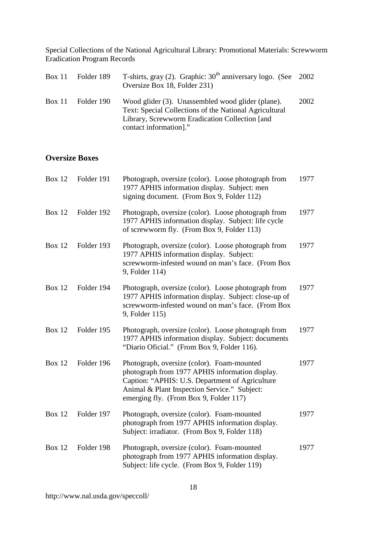| Box 11 Folder 189 | T-shirts, gray (2). Graphic: $30th$ anniversary logo. (See 2002)<br>Oversize Box 18, Folder 231)                                                                                        |      |
|-------------------|-----------------------------------------------------------------------------------------------------------------------------------------------------------------------------------------|------|
| Box 11 Folder 190 | Wood glider (3). Unassembled wood glider (plane).<br>Text: Special Collections of the National Agricultural<br>Library, Screwworm Eradication Collection [and<br>contact information]." | 2002 |

# **Oversize Boxes**

| <b>Box 12</b> | Folder 191 | Photograph, oversize (color). Loose photograph from<br>1977 APHIS information display. Subject: men<br>signing document. (From Box 9, Folder 112)                                                                                          | 1977 |
|---------------|------------|--------------------------------------------------------------------------------------------------------------------------------------------------------------------------------------------------------------------------------------------|------|
| <b>Box 12</b> | Folder 192 | Photograph, oversize (color). Loose photograph from<br>1977 APHIS information display. Subject: life cycle<br>of screwworm fly. (From Box 9, Folder 113)                                                                                   | 1977 |
| <b>Box 12</b> | Folder 193 | Photograph, oversize (color). Loose photograph from<br>1977 APHIS information display. Subject:<br>screwworm-infested wound on man's face. (From Box<br>9, Folder 114)                                                                     | 1977 |
| <b>Box 12</b> | Folder 194 | Photograph, oversize (color). Loose photograph from<br>1977 APHIS information display. Subject: close-up of<br>screwworm-infested wound on man's face. (From Box<br>9, Folder 115)                                                         | 1977 |
| <b>Box 12</b> | Folder 195 | Photograph, oversize (color). Loose photograph from<br>1977 APHIS information display. Subject: documents<br>"Diario Oficial." (From Box 9, Folder 116).                                                                                   | 1977 |
| <b>Box 12</b> | Folder 196 | Photograph, oversize (color). Foam-mounted<br>photograph from 1977 APHIS information display.<br>Caption: "APHIS: U.S. Department of Agriculture<br>Animal & Plant Inspection Service." Subject:<br>emerging fly. (From Box 9, Folder 117) | 1977 |
| <b>Box 12</b> | Folder 197 | Photograph, oversize (color). Foam-mounted<br>photograph from 1977 APHIS information display.<br>Subject: irradiator. (From Box 9, Folder 118)                                                                                             | 1977 |
| <b>Box 12</b> | Folder 198 | Photograph, oversize (color). Foam-mounted<br>photograph from 1977 APHIS information display.<br>Subject: life cycle. (From Box 9, Folder 119)                                                                                             | 1977 |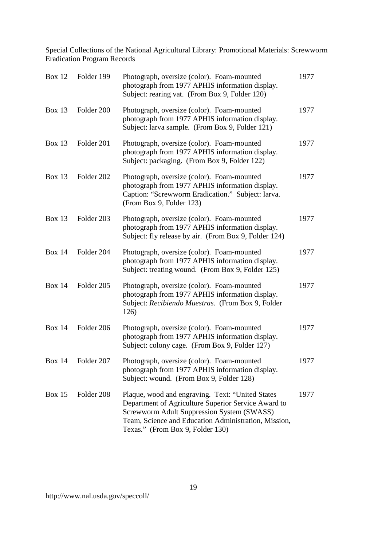| <b>Box 12</b> | Folder 199 | Photograph, oversize (color). Foam-mounted<br>photograph from 1977 APHIS information display.<br>Subject: rearing vat. (From Box 9, Folder 120)                                                                                                   | 1977 |
|---------------|------------|---------------------------------------------------------------------------------------------------------------------------------------------------------------------------------------------------------------------------------------------------|------|
| <b>Box 13</b> | Folder 200 | Photograph, oversize (color). Foam-mounted<br>photograph from 1977 APHIS information display.<br>Subject: larva sample. (From Box 9, Folder 121)                                                                                                  | 1977 |
| <b>Box 13</b> | Folder 201 | Photograph, oversize (color). Foam-mounted<br>photograph from 1977 APHIS information display.<br>Subject: packaging. (From Box 9, Folder 122)                                                                                                     | 1977 |
| <b>Box 13</b> | Folder 202 | Photograph, oversize (color). Foam-mounted<br>photograph from 1977 APHIS information display.<br>Caption: "Screwworm Eradication." Subject: larva.<br>(From Box 9, Folder 123)                                                                    | 1977 |
| <b>Box 13</b> | Folder 203 | Photograph, oversize (color). Foam-mounted<br>photograph from 1977 APHIS information display.<br>Subject: fly release by air. (From Box 9, Folder 124)                                                                                            | 1977 |
| <b>Box 14</b> | Folder 204 | Photograph, oversize (color). Foam-mounted<br>photograph from 1977 APHIS information display.<br>Subject: treating wound. (From Box 9, Folder 125)                                                                                                | 1977 |
| <b>Box 14</b> | Folder 205 | Photograph, oversize (color). Foam-mounted<br>photograph from 1977 APHIS information display.<br>Subject: Recibiendo Muestras. (From Box 9, Folder<br>126)                                                                                        | 1977 |
| <b>Box 14</b> | Folder 206 | Photograph, oversize (color). Foam-mounted<br>photograph from 1977 APHIS information display.<br>Subject: colony cage. (From Box 9, Folder 127)                                                                                                   | 1977 |
| Box 14        | Folder 207 | Photograph, oversize (color). Foam-mounted<br>photograph from 1977 APHIS information display.<br>Subject: wound. (From Box 9, Folder 128)                                                                                                         | 1977 |
| Box $15$      | Folder 208 | Plaque, wood and engraving. Text: "United States<br>Department of Agriculture Superior Service Award to<br>Screwworm Adult Suppression System (SWASS)<br>Team, Science and Education Administration, Mission,<br>Texas." (From Box 9, Folder 130) | 1977 |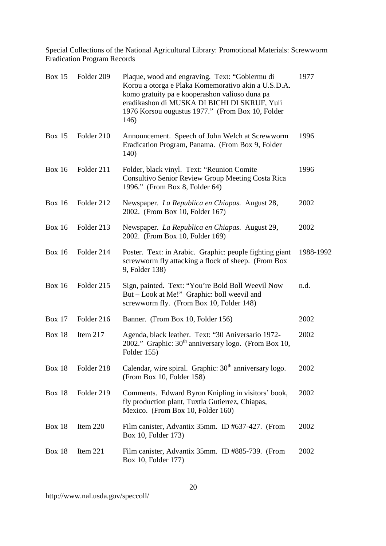| <b>Box 15</b> | Folder 209 | Plaque, wood and engraving. Text: "Gobiermu di<br>Korou a otorga e Plaka Komemorativo akin a U.S.D.A.<br>komo gratuity pa e kooperashon valioso duna pa<br>eradikashon di MUSKA DI BICHI DI SKRUF, Yuli<br>1976 Korsou ougustus 1977." (From Box 10, Folder<br>146) | 1977      |
|---------------|------------|---------------------------------------------------------------------------------------------------------------------------------------------------------------------------------------------------------------------------------------------------------------------|-----------|
| <b>Box 15</b> | Folder 210 | Announcement. Speech of John Welch at Screwworm<br>Eradication Program, Panama. (From Box 9, Folder<br>140)                                                                                                                                                         | 1996      |
| <b>Box 16</b> | Folder 211 | Folder, black vinyl. Text: "Reunion Comite<br>Consultivo Senior Review Group Meeting Costa Rica<br>1996." (From Box 8, Folder 64)                                                                                                                                   | 1996      |
| <b>Box 16</b> | Folder 212 | Newspaper. La Republica en Chiapas. August 28,<br>2002. (From Box 10, Folder 167)                                                                                                                                                                                   | 2002      |
| <b>Box 16</b> | Folder 213 | Newspaper. La Republica en Chiapas. August 29,<br>2002. (From Box 10, Folder 169)                                                                                                                                                                                   | 2002      |
| <b>Box 16</b> | Folder 214 | Poster. Text: in Arabic. Graphic: people fighting giant<br>screwworm fly attacking a flock of sheep. (From Box<br>9, Folder 138)                                                                                                                                    | 1988-1992 |
| <b>Box 16</b> | Folder 215 | Sign, painted. Text: "You're Bold Boll Weevil Now<br>But - Look at Me!" Graphic: boll weevil and<br>screwworm fly. (From Box 10, Folder 148)                                                                                                                        | n.d.      |
| <b>Box 17</b> | Folder 216 | Banner. (From Box 10, Folder 156)                                                                                                                                                                                                                                   | 2002      |
| <b>Box 18</b> | Item 217   | Agenda, black leather. Text: "30 Aniversario 1972-<br>2002." Graphic: $30th$ anniversary logo. (From Box 10,<br>Folder 155)                                                                                                                                         | 2002      |
| <b>Box 18</b> | Folder 218 | Calendar, wire spiral. Graphic: 30 <sup>th</sup> anniversary logo.<br>(From Box 10, Folder 158)                                                                                                                                                                     | 2002      |
| <b>Box 18</b> | Folder 219 | Comments. Edward Byron Knipling in visitors' book,<br>fly production plant, Tuxtla Gutierrez, Chiapas,<br>Mexico. (From Box 10, Folder 160)                                                                                                                         | 2002      |
| <b>Box 18</b> | Item $220$ | Film canister, Advantix 35mm. ID #637-427. (From<br>Box 10, Folder 173)                                                                                                                                                                                             | 2002      |
| <b>Box 18</b> | Item 221   | Film canister, Advantix 35mm. ID #885-739. (From<br>Box 10, Folder 177)                                                                                                                                                                                             | 2002      |